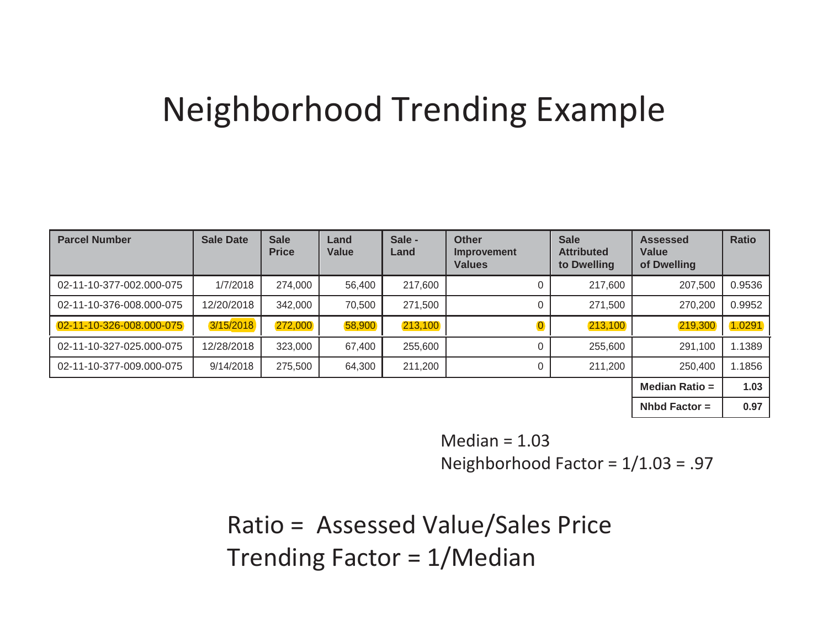## Neighborhood Trending Example

| <b>Parcel Number</b>     | <b>Sale Date</b> | <b>Sale</b><br><b>Price</b> | Land<br><b>Value</b> | Sale -<br>Land | <b>Other</b><br>Improvement<br><b>Values</b> | <b>Sale</b><br><b>Attributed</b><br>to Dwelling | <b>Assessed</b><br>Value<br>of Dwelling | <b>Ratio</b> |
|--------------------------|------------------|-----------------------------|----------------------|----------------|----------------------------------------------|-------------------------------------------------|-----------------------------------------|--------------|
| 02-11-10-377-002.000-075 | 1/7/2018         | 274,000                     | 56,400               | 217,600        | 0                                            | 217,600                                         | 207,500                                 | 0.9536       |
| 02-11-10-376-008.000-075 | 12/20/2018       | 342,000                     | 70,500               | 271,500        | 0                                            | 271,500                                         | 270,200                                 | 0.9952       |
| 02-11-10-326-008.000-075 | 3/15/2018        | 272,000                     | 58,900               | 213,100        |                                              | 213,100                                         | 219,300                                 | 1.0291       |
| 02-11-10-327-025.000-075 | 12/28/2018       | 323,000                     | 67,400               | 255,600        | 0                                            | 255,600                                         | 291,100                                 | 1.1389       |
| 02-11-10-377-009.000-075 | 9/14/2018        | 275,500                     | 64,300               | 211,200        | 0                                            | 211,200                                         | 250,400                                 | 1.1856       |
|                          |                  |                             |                      |                |                                              |                                                 | <b>Median Ratio =</b>                   | 1.03         |
|                          |                  |                             |                      |                |                                              |                                                 | Nhbd Factor $=$                         | 0.97         |

Median  $= 1.03$ Neighborhood Factor = 1/1.03 = .97

Ratio = Assessed Value/Sales Price Trending Factor = 1/Median